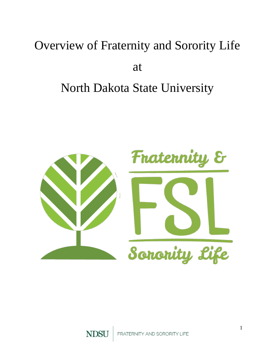# Overview of Fraternity and Sorority Life

## at

# North Dakota State University

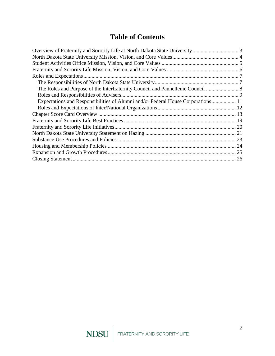## **Table of Contents**

| The Roles and Purpose of the Interfraternity Council and Panhellenic Council  8  |  |
|----------------------------------------------------------------------------------|--|
|                                                                                  |  |
| Expectations and Responsibilities of Alumni and/or Federal House Corporations 11 |  |
|                                                                                  |  |
|                                                                                  |  |
|                                                                                  |  |
|                                                                                  |  |
|                                                                                  |  |
|                                                                                  |  |
|                                                                                  |  |
|                                                                                  |  |
|                                                                                  |  |
|                                                                                  |  |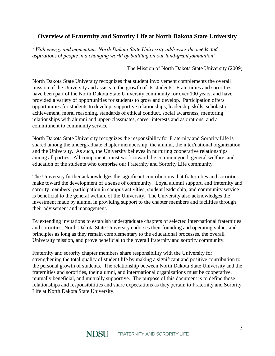## <span id="page-2-0"></span>**Overview of Fraternity and Sorority Life at North Dakota State University**

*"With energy and momentum, North Dakota State University addresses the needs and aspirations of people in a changing world by building on our land-grant foundation"*

The Mission of North Dakota State University (2009)

North Dakota State University recognizes that student involvement complements the overall mission of the University and assists in the growth of its students. Fraternities and sororities have been part of the North Dakota State University community for over 100 years, and have provided a variety of opportunities for students to grow and develop. Participation offers opportunities for students to develop: supportive relationships, leadership skills, scholastic achievement, moral reasoning, standards of ethical conduct, social awareness, mentoring relationships with alumni and upper-classmates, career interests and aspirations, and a commitment to community service.

North Dakota State University recognizes the responsibility for Fraternity and Sorority Life is shared among the undergraduate chapter membership, the alumni, the inter/national organization, and the University. As such, the University believes in nurturing cooperative relationships among all parties. All components must work toward the common good, general welfare, and education of the students who comprise our Fraternity and Sorority Life community.

The University further acknowledges the significant contributions that fraternities and sororities make toward the development of a sense of community. Loyal alumni support, and fraternity and sorority members' participation in campus activities, student leadership, and community service is beneficial to the general welfare of the University. The University also acknowledges the investment made by alumni in providing support to the chapter members and facilities through their advisement and management.

By extending invitations to establish undergraduate chapters of selected inter/national fraternities and sororities, North Dakota State University endorses their founding and operating values and principles as long as they remain complementary to the educational processes, the overall University mission, and prove beneficial to the overall fraternity and sorority community.

Fraternity and sorority chapter members share responsibility with the University for strengthening the total quality of student life by making a significant and positive contribution to the personal growth of students. The relationship between North Dakota State University and the fraternities and sororities, their alumni, and inter/national organizations must be cooperative, mutually beneficial, and mutually supportive. The purpose of this document is to define those relationships and responsibilities and share expectations as they pertain to Fraternity and Sorority Life at North Dakota State University.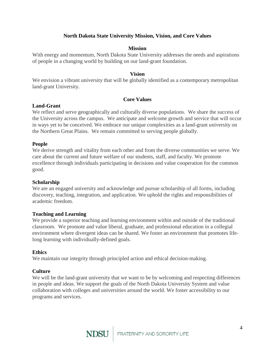## **North Dakota State University Mission, Vision, and Core Values**

## **Mission**

<span id="page-3-0"></span>With energy and momentum, North Dakota State University addresses the needs and aspirations of people in a changing world by building on our land-grant foundation.

## **Vision**

We envision a vibrant university that will be globally identified as a contemporary metropolitan land-grant University.

## **Core Values**

### **Land-Grant**

We reflect and serve geographically and culturally diverse populations. We share the success of the University across the campus. We anticipate and welcome growth and service that will occur in ways yet to be conceived. We embrace our unique complexities as a land-grant university on the Northern Great Plains. We remain committed to serving people globally.

## **People**

We derive strength and vitality from each other and from the diverse communities we serve. We care about the current and future welfare of our students, staff, and faculty. We promote excellence through individuals participating in decisions and value cooperation for the common good.

## **Scholarship**

We are an engaged university and acknowledge and pursue scholarship of all forms, including discovery, teaching, integration, and application. We uphold the rights and responsibilities of academic freedom.

## **Teaching and Learning**

We provide a superior teaching and learning environment within and outside of the traditional classroom. We promote and value liberal, graduate, and professional education in a collegial environment where divergent ideas can be shared. We foster an environment that promotes lifelong learning with individually-defined goals.

## **Ethics**

We maintain our integrity through principled action and ethical decision-making.

## **Culture**

We will be the land-grant university that we want to be by welcoming and respecting differences in people and ideas. We support the goals of the North Dakota University System and value collaboration with colleges and universities around the world. We foster accessibility to our programs and services.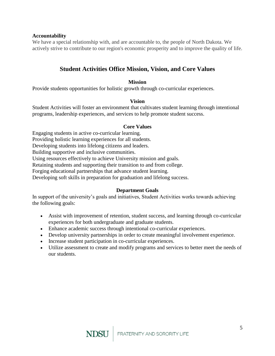## **Accountability**

We have a special relationship with, and are accountable to, the people of North Dakota. We actively strive to contribute to our region's economic prosperity and to improve the quality of life.

## **Student Activities Office Mission, Vision, and Core Values**

## **Mission**

<span id="page-4-0"></span>Provide students opportunities for holistic growth through co-curricular experiences.

### **Vision**

Student Activities will foster an environment that cultivates student learning through intentional programs, leadership experiences, and services to help promote student success.

#### **Core Values**

Engaging students in active co-curricular learning.

Providing holistic learning experiences for all students.

Developing students into lifelong citizens and leaders.

Building supportive and inclusive communities.

Using resources effectively to achieve University mission and goals.

Retaining students and supporting their transition to and from college.

Forging educational partnerships that advance student learning.

Developing soft skills in preparation for graduation and lifelong success.

### **Department Goals**

In support of the university's goals and initiatives, Student Activities works towards achieving the following goals:

- Assist with improvement of retention, student success, and learning through co-curricular experiences for both undergraduate and graduate students.
- Enhance academic success through intentional co-curricular experiences.
- Develop university partnerships in order to create meaningful involvement experience.
- Increase student participation in co-curricular experiences.
- Utilize assessment to create and modify programs and services to better meet the needs of our students.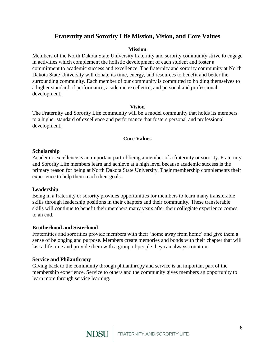## **Fraternity and Sorority Life Mission, Vision, and Core Values**

#### **Mission**

<span id="page-5-0"></span>Members of the North Dakota State University fraternity and sorority community strive to engage in activities which complement the holistic development of each student and foster a commitment to academic success and excellence. The fraternity and sorority community at North Dakota State University will donate its time, energy, and resources to benefit and better the surrounding community. Each member of our community is committed to holding themselves to a higher standard of performance, academic excellence, and personal and professional development.

### **Vision**

The Fraternity and Sorority Life community will be a model community that holds its members to a higher standard of excellence and performance that fosters personal and professional development.

## **Core Values**

#### **Scholarship**

Academic excellence is an important part of being a member of a fraternity or sorority. Fraternity and Sorority Life members learn and achieve at a high level because academic success is the primary reason for being at North Dakota State University. Their membership complements their experience to help them reach their goals.

### **Leadership**

Being in a fraternity or sorority provides opportunities for members to learn many transferable skills through leadership positions in their chapters and their community. These transferable skills will continue to benefit their members many years after their collegiate experience comes to an end.

### **Brotherhood and Sisterhood**

Fraternities and sororities provide members with their 'home away from home' and give them a sense of belonging and purpose. Members create memories and bonds with their chapter that will last a life time and provide them with a group of people they can always count on.

### **Service and Philanthropy**

Giving back to the community through philanthropy and service is an important part of the membership experience. Service to others and the community gives members an opportunity to learn more through service learning.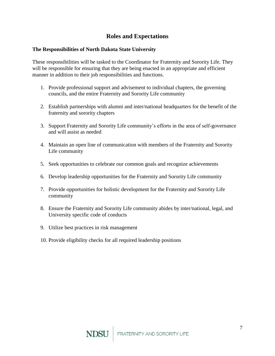## **Roles and Expectations**

## <span id="page-6-1"></span><span id="page-6-0"></span>**The Responsibilities of North Dakota State University**

These responsibilities will be tasked to the Coordinator for Fraternity and Sorority Life. They will be responsible for ensuring that they are being enacted in an appropriate and efficient manner in addition to their job responsibilities and functions.

- 1. Provide professional support and advisement to individual chapters, the governing councils, and the entire Fraternity and Sorority Life community
- 2. Establish partnerships with alumni and inter/national headquarters for the benefit of the fraternity and sorority chapters
- 3. Support Fraternity and Sorority Life community's efforts in the area of self-governance and will assist as needed
- 4. Maintain an open line of communication with members of the Fraternity and Sorority Life community
- 5. Seek opportunities to celebrate our common goals and recognize achievements
- 6. Develop leadership opportunities for the Fraternity and Sorority Life community
- 7. Provide opportunities for holistic development for the Fraternity and Sorority Life community
- 8. Ensure the Fraternity and Sorority Life community abides by inter/national, legal, and University specific code of conducts
- 9. Utilize best practices in risk management
- 10. Provide eligibility checks for all required leadership positions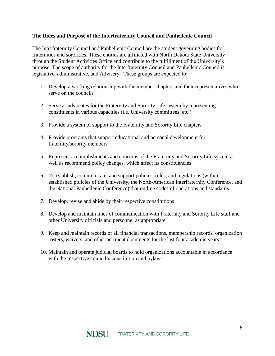## <span id="page-7-0"></span>**The Roles and Purpose of the Interfraternity Council and Panhellenic Council**

The Interfraternity Council and Panhellenic Council are the student governing bodies for fraternities and sororities. These entities are affiliated with North Dakota State University through the Student Activities Office and contribute to the fulfillment of the University's purpose. The scope of authority for the Interfraternity Council and Panhellenic Council is legislative, administrative, and Advisery. These groups are expected to:

- 1. Develop a working relationship with the member chapters and their representatives who serve on the councils
- 2. Serve as advocates for the Fraternity and Sorority Life system by representing constituents in various capacities (i.e. University committees, etc.)
- 3. Provide a system of support to the Fraternity and Sorority Life chapters
- 4. Provide programs that support educational and personal development for fraternity/sorority members
- 5. Represent accomplishments and concerns of the Fraternity and Sorority Life system as well as recommend policy changes, which affect its constituencies
- 6. To establish, communicate, and support policies, rules, and regulations (within established policies of the University, the North-American Interfraternity Conference, and the National Panhellenic Conference) that outline codes of operations and standards.
- 7. Develop, revise and abide by their respective constitutions
- 8. Develop and maintain lines of communication with Fraternity and Sorority Life staff and other University officials and personnel as appropriate
- 9. Keep and maintain records of all financial transactions, membership records, organization rosters, waivers, and other pertinent documents for the last four academic years
- 10. Maintain and operate judicial boards to hold organizations accountable in accordance with the respective council's constitution and bylaws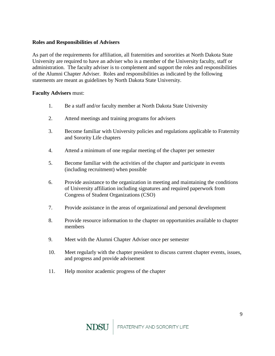## <span id="page-8-0"></span>**Roles and Responsibilities of Advisers**

As part of the requirements for affiliation, all fraternities and sororities at North Dakota State University are required to have an adviser who is a member of the University faculty, staff or administration. The faculty adviser is to complement and support the roles and responsibilities of the Alumni Chapter Adviser. Roles and responsibilities as indicated by the following statements are meant as guidelines by North Dakota State University.

## **Faculty Advisers** must:

- 1. Be a staff and/or faculty member at North Dakota State University
- 2. Attend meetings and training programs for advisers
- 3. Become familiar with University policies and regulations applicable to Fraternity and Sorority Life chapters
- 4. Attend a minimum of one regular meeting of the chapter per semester
- 5. Become familiar with the activities of the chapter and participate in events (including recruitment) when possible
- 6. Provide assistance to the organization in meeting and maintaining the conditions of University affiliation including signatures and required paperwork from Congress of Student Organizations (CSO)
- 7. Provide assistance in the areas of organizational and personal development
- 8. Provide resource information to the chapter on opportunities available to chapter members
- 9. Meet with the Alumni Chapter Adviser once per semester
- 10. Meet regularly with the chapter president to discuss current chapter events, issues, and progress and provide advisement
- 11. Help monitor academic progress of the chapter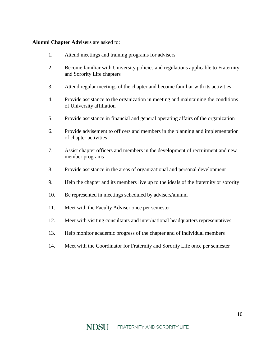## **Alumni Chapter Advisers** are asked to:

- 1. Attend meetings and training programs for advisers
- 2. Become familiar with University policies and regulations applicable to Fraternity and Sorority Life chapters
- 3. Attend regular meetings of the chapter and become familiar with its activities
- 4. Provide assistance to the organization in meeting and maintaining the conditions of University affiliation
- 5. Provide assistance in financial and general operating affairs of the organization
- 6. Provide advisement to officers and members in the planning and implementation of chapter activities
- 7. Assist chapter officers and members in the development of recruitment and new member programs
- 8. Provide assistance in the areas of organizational and personal development
- 9. Help the chapter and its members live up to the ideals of the fraternity or sorority
- 10. Be represented in meetings scheduled by advisers/alumni
- 11. Meet with the Faculty Adviser once per semester
- 12. Meet with visiting consultants and inter/national headquarters representatives
- 13. Help monitor academic progress of the chapter and of individual members
- 14. Meet with the Coordinator for Fraternity and Sorority Life once per semester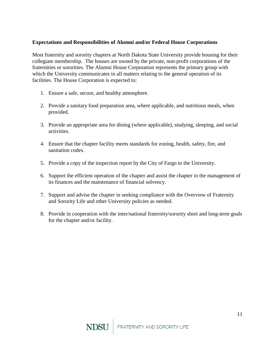## <span id="page-10-0"></span>**Expectations and Responsibilities of Alumni and/or Federal House Corporations**

Most fraternity and sorority chapters at North Dakota State University provide housing for their collegiate membership. The houses are owned by the private, non-profit corporations of the fraternities or sororities. The Alumni House Corporation represents the primary group with which the University communicates in all matters relating to the general operation of its facilities. The House Corporation is expected to:

- 1. Ensure a safe, secure, and healthy atmosphere.
- 2. Provide a sanitary food preparation area, where applicable, and nutritious meals, when provided.
- 3. Provide an appropriate area for dining (where applicable), studying, sleeping, and social activities.
- 4. Ensure that the chapter facility meets standards for zoning, health, safety, fire, and sanitation codes.
- 5. Provide a copy of the inspection report by the City of Fargo to the University.
- 6. Support the efficient operation of the chapter and assist the chapter in the management of its finances and the maintenance of financial solvency.
- 7. Support and advise the chapter in seeking compliance with the Overview of Fraternity and Sorority Life and other University policies as needed.
- 8. Provide in cooperation with the inter/national fraternity/sorority short and long-term goals for the chapter and/or facility.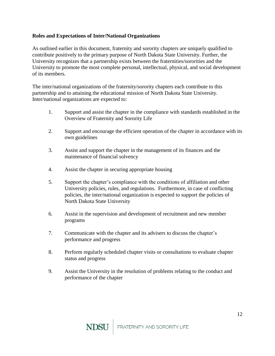## <span id="page-11-0"></span>**Roles and Expectations of Inter/National Organizations**

As outlined earlier in this document, fraternity and sorority chapters are uniquely qualified to contribute positively to the primary purpose of North Dakota State University. Further, the University recognizes that a partnership exists between the fraternities/sororities and the University to promote the most complete personal, intellectual, physical, and social development of its members.

The inter/national organizations of the fraternity/sorority chapters each contribute to this partnership and to attaining the educational mission of North Dakota State University. Inter/national organizations are expected to:

- 1. Support and assist the chapter in the compliance with standards established in the Overview of Fraternity and Sorority Life
- 2. Support and encourage the efficient operation of the chapter in accordance with its own guidelines
- 3. Assist and support the chapter in the management of its finances and the maintenance of financial solvency
- 4. Assist the chapter in securing appropriate housing
- 5. Support the chapter's compliance with the conditions of affiliation and other University policies, rules, and regulations. Furthermore, in case of conflicting policies, the inter/national organization is expected to support the policies of North Dakota State University
- 6. Assist in the supervision and development of recruitment and new member programs
- 7. Communicate with the chapter and its advisers to discuss the chapter's performance and progress
- 8. Perform regularly scheduled chapter visits or consultations to evaluate chapter status and progress
- 9. Assist the University in the resolution of problems relating to the conduct and performance of the chapter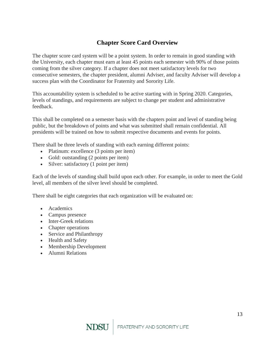## **Chapter Score Card Overview**

<span id="page-12-0"></span>The chapter score card system will be a point system. In order to remain in good standing with the University, each chapter must earn at least 45 points each semester with 90% of those points coming from the silver category. If a chapter does not meet satisfactory levels for two consecutive semesters, the chapter president, alumni Adviser, and faculty Adviser will develop a success plan with the Coordinator for Fraternity and Sorority Life.

This accountability system is scheduled to be active starting with in Spring 2020. Categories, levels of standings, and requirements are subject to change per student and administrative feedback.

This shall be completed on a semester basis with the chapters point and level of standing being public, but the breakdown of points and what was submitted shall remain confidential. All presidents will be trained on how to submit respective documents and events for points.

There shall be three levels of standing with each earning different points:

- Platinum: excellence (3 points per item)
- Gold: outstanding (2 points per item)
- Silver: satisfactory (1 point per item)

Each of the levels of standing shall build upon each other. For example, in order to meet the Gold level, all members of the silver level should be completed.

There shall be eight categories that each organization will be evaluated on:

- Academics
- Campus presence
- Inter-Greek relations
- Chapter operations
- Service and Philanthropy
- Health and Safety
- Membership Development
- Alumni Relations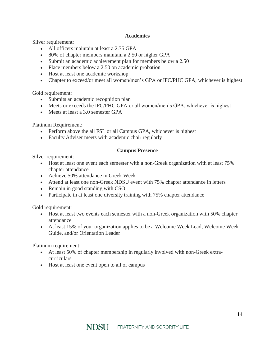## **Academics**

Silver requirement:

- All officers maintain at least a 2.75 GPA
- 80% of chapter members maintain a 2.50 or higher GPA
- Submit an academic achievement plan for members below a 2.50
- Place members below a 2.50 on academic probation
- Host at least one academic workshop
- Chapter to exceed/or meet all women/men's GPA or IFC/PHC GPA, whichever is highest

Gold requirement:

- Submits an academic recognition plan
- Meets or exceeds the IFC/PHC GPA or all women/men's GPA, whichever is highest
- Meets at least a 3.0 semester GPA

Platinum Requirement:

- Perform above the all FSL or all Campus GPA, whichever is highest
- Faculty Adviser meets with academic chair regularly

## **Campus Presence**

Silver requirement:

- Host at least one event each semester with a non-Greek organization with at least 75% chapter attendance
- Achieve 50% attendance in Greek Week
- Attend at least one non-Greek NDSU event with 75% chapter attendance in letters
- Remain in good standing with CSO
- Participate in at least one diversity training with 75% chapter attendance

Gold requirement:

- Host at least two events each semester with a non-Greek organization with 50% chapter attendance
- At least 15% of your organization applies to be a Welcome Week Lead, Welcome Week Guide, and/or Orientation Leader

Platinum requirement:

- At least 50% of chapter membership in regularly involved with non-Greek extracurriculars
- Host at least one event open to all of campus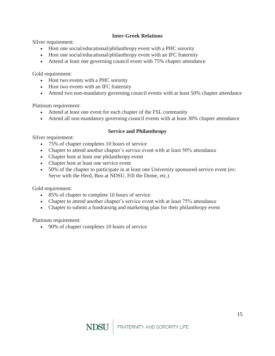## **Inter-Greek Relations**

Silver requirement:

- Host one social/educational/philanthropy event with a PHC sorority
- Host one social/educational/philanthropy event with an IFC fraternity
- Attend at least one governing council event with 75% chapter attendance

Gold requirement:

- Host two events with a PHC sorority
- Host two events with an IFC fraternity
- Attend two non-mandatory governing council events with at least 50% chapter attendance

Platinum requirement:

- Attend at least one event for each chapter of the FSL community
- Attend all non-mandatory governing council events with at least 30% chapter attendance

### **Service and Philanthropy**

Silver requirement:

- 75% of chapter completes 10 hours of service
- Chapter to attend another chapter's service event with at least 50% attendance
- Chapter host at least one philanthropy event
- Chapter host at least one service event
- 50% of the chapter to participate in at least one University sponsored service event (ex: Serve with the Herd, Boo at NDSU, Fill the Dome, etc.)

Gold requirement:

- 85% of chapter to complete 10 hours of service
- Chapter to attend another chapter's service event with at least 75% attendance
- Chapter to submit a fundraising and marketing plan for their philanthropy event

Platinum requirement:

90% of chapter completes 10 hours of service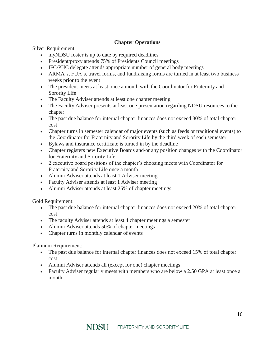## **Chapter Operations**

Silver Requirement:

- myNDSU roster is up to date by required deadlines
- President/proxy attends 75% of Presidents Council meetings
- IFC/PHC delegate attends appropriate number of general body meetings
- ARMA's, FUA's, travel forms, and fundraising forms are turned in at least two business weeks prior to the event
- The president meets at least once a month with the Coordinator for Fraternity and Sorority Life
- The Faculty Adviser attends at least one chapter meeting
- The Faculty Adviser presents at least one presentation regarding NDSU resources to the chapter
- The past due balance for internal chapter finances does not exceed 30% of total chapter cost
- Chapter turns in semester calendar of major events (such as feeds or traditional events) to the Coordinator for Fraternity and Sorority Life by the third week of each semester
- Bylaws and insurance certificate is turned in by the deadline
- Chapter registers new Executive Boards and/or any position changes with the Coordinator for Fraternity and Sorority Life
- 2 executive board positions of the chapter's choosing meets with Coordinator for Fraternity and Sorority Life once a month
- Alumni Adviser attends at least 1 Adviser meeting
- Faculty Adviser attends at least 1 Adviser meeting
- Alumni Adviser attends at least 25% of chapter meetings

Gold Requirement:

- The past due balance for internal chapter finances does not exceed 20% of total chapter cost
- The faculty Adviser attends at least 4 chapter meetings a semester
- Alumni Adviser attends 50% of chapter meetings
- Chapter turns in monthly calendar of events

Platinum Requirement:

- The past due balance for internal chapter finances does not exceed 15% of total chapter cost
- Alumni Adviser attends all (except for one) chapter meetings
- Faculty Adviser regularly meets with members who are below a 2.50 GPA at least once a month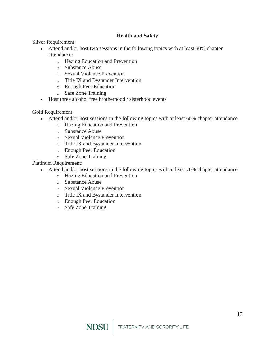## **Health and Safety**

Silver Requirement:

- Attend and/or host two sessions in the following topics with at least 50% chapter attendance:
	- o Hazing Education and Prevention
	- o Substance Abuse
	- o Sexual Violence Prevention
	- o Title IX and Bystander Intervention
	- o Enough Peer Education
	- o Safe Zone Training
- Host three alcohol free brotherhood / sisterhood events

Gold Requirement:

- Attend and/or host sessions in the following topics with at least 60% chapter attendance
	- o Hazing Education and Prevention
	- o Substance Abuse
	- o Sexual Violence Prevention
	- o Title IX and Bystander Intervention
	- o Enough Peer Education
	- o Safe Zone Training

Platinum Requirement:

- Attend and/or host sessions in the following topics with at least 70% chapter attendance
	- o Hazing Education and Prevention
	- o Substance Abuse
	- o Sexual Violence Prevention
	- o Title IX and Bystander Intervention
	- o Enough Peer Education
	- o Safe Zone Training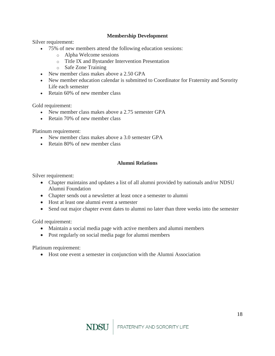## **Membership Development**

Silver requirement:

- 75% of new members attend the following education sessions:
	- o Alpha Welcome sessions
	- o Title IX and Bystander Intervention Presentation
	- o Safe Zone Training
- New member class makes above a 2.50 GPA
- New member education calendar is submitted to Coordinator for Fraternity and Sorority Life each semester
- Retain 60% of new member class

Gold requirement:

- New member class makes above a 2.75 semester GPA
- Retain 70% of new member class

Platinum requirement:

- New member class makes above a 3.0 semester GPA
- Retain 80% of new member class

## **Alumni Relations**

Silver requirement:

- Chapter maintains and updates a list of all alumni provided by nationals and/or NDSU Alumni Foundation
- Chapter sends out a newsletter at least once a semester to alumni
- Host at least one alumni event a semester
- Send out major chapter event dates to alumni no later than three weeks into the semester

Gold requirement:

- Maintain a social media page with active members and alumni members
- Post regularly on social media page for alumni members

Platinum requirement:

Host one event a semester in conjunction with the Alumni Association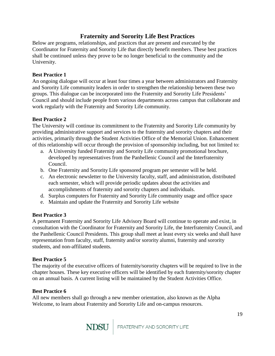## **Fraternity and Sorority Life Best Practices**

<span id="page-18-0"></span>Below are programs, relationships, and practices that are present and executed by the Coordinator for Fraternity and Sorority Life that directly benefit members. These best practices shall be continued unless they prove to be no longer beneficial to the community and the University.

## **Best Practice 1**

An ongoing dialogue will occur at least four times a year between administrators and Fraternity and Sorority Life community leaders in order to strengthen the relationship between these two groups. This dialogue can be incorporated into the Fraternity and Sorority Life Presidents' Council and should include people from various departments across campus that collaborate and work regularly with the Fraternity and Sorority Life community.

## **Best Practice 2**

The University will continue its commitment to the Fraternity and Sorority Life community by providing administrative support and services to the fraternity and sorority chapters and their activities, primarily through the Student Activities Office of the Memorial Union. Enhancement of this relationship will occur through the provision of sponsorship including, but not limited to:

- a. A University funded Fraternity and Sorority Life community promotional brochure, developed by representatives from the Panhellenic Council and the Interfraternity Council.
- b. One Fraternity and Sorority Life sponsored program per semester will be held.
- c. An electronic newsletter to the University faculty, staff, and administration, distributed each semester, which will provide periodic updates about the activities and accomplishments of fraternity and sorority chapters and individuals.
- d. Surplus computers for Fraternity and Sorority Life community usage and office space
- e. Maintain and update the Fraternity and Sorority Life website

## **Best Practice 3**

A permanent Fraternity and Sorority Life Advisory Board will continue to operate and exist, in consultation with the Coordinator for Fraternity and Sorority Life, the Interfraternity Council, and the Panhellenic Council Presidents. This group shall meet at least every six weeks and shall have representation from faculty, staff, fraternity and/or sorority alumni, fraternity and sorority students, and non-affiliated students.

## **Best Practice 5**

The majority of the executive officers of fraternity/sorority chapters will be required to live in the chapter houses. These key executive officers will be identified by each fraternity/sorority chapter on an annual basis. A current listing will be maintained by the Student Activities Office.

## **Best Practice 6**

All new members shall go through a new member orientation, also known as the Alpha Welcome, to learn about Fraternity and Sorority Life and on-campus resources.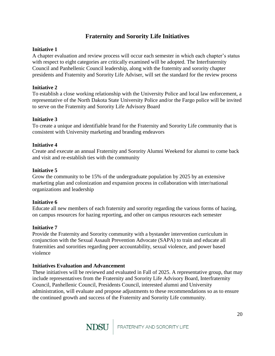## **Fraternity and Sorority Life Initiatives**

## <span id="page-19-0"></span>**Initiative 1**

A chapter evaluation and review process will occur each semester in which each chapter's status with respect to eight categories are critically examined will be adopted. The Interfraternity Council and Panhellenic Council leadership, along with the fraternity and sorority chapter presidents and Fraternity and Sorority Life Adviser, will set the standard for the review process

## **Initiative 2**

To establish a close working relationship with the University Police and local law enforcement, a representative of the North Dakota State University Police and/or the Fargo police will be invited to serve on the Fraternity and Sorority Life Advisory Board

## **Initiative 3**

To create a unique and identifiable brand for the Fraternity and Sorority Life community that is consistent with University marketing and branding endeavors

## **Initiative 4**

Create and execute an annual Fraternity and Sorority Alumni Weekend for alumni to come back and visit and re-establish ties with the community

## **Initiative 5**

Grow the community to be 15% of the undergraduate population by 2025 by an extensive marketing plan and colonization and expansion process in collaboration with inter/national organizations and leadership

## **Initiative 6**

Educate all new members of each fraternity and sorority regarding the various forms of hazing, on campus resources for hazing reporting, and other on campus resources each semester

## **Initiative 7**

Provide the Fraternity and Sorority community with a bystander intervention curriculum in conjunction with the Sexual Assault Prevention Advocate (SAPA) to train and educate all fraternities and sororities regarding peer accountability, sexual violence, and power based violence

## **Initiatives Evaluation and Advancement**

These initiatives will be reviewed and evaluated in Fall of 2025. A representative group, that may include representatives from the Fraternity and Sorority Life Advisory Board, Interfraternity Council, Panhellenic Council, Presidents Council, interested alumni and University administration, will evaluate and propose adjustments to these recommendations so as to ensure the continued growth and success of the Fraternity and Sorority Life community.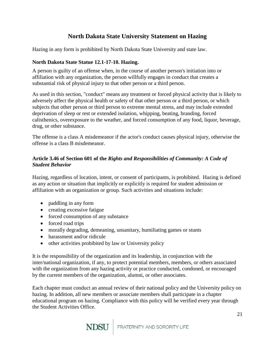## **North Dakota State University Statement on Hazing**

<span id="page-20-0"></span>Hazing in any form is prohibited by North Dakota State University and state law.

## **North Dakota State Statue 12.1-17-10. Hazing.**

A person is guilty of an offense when, in the course of another person's initiation into or affiliation with any organization, the person willfully engages in conduct that creates a substantial risk of physical injury to that other person or a third person.

As used in this section, "conduct" means any treatment or forced physical activity that is likely to adversely affect the physical health or safety of that other person or a third person, or which subjects that other person or third person to extreme mental stress, and may include extended deprivation of sleep or rest or extended isolation, whipping, beating, branding, forced calisthenics, overexposure to the weather, and forced consumption of any food, liquor, beverage, drug, or other substance.

The offense is a class A misdemeanor if the actor's conduct causes physical injury, otherwise the offense is a class B misdemeanor.

## **Article 3.46 of Section 601 of the** *Rights and Responsibilities of Community: A Code of Student Behavior*

Hazing, regardless of location, intent, or consent of participants, is prohibited. Hazing is defined as any action or situation that implicitly or explicitly is required for student admission or affiliation with an organization or group. Such activities and situations include:

- paddling in any form
- creating excessive fatigue
- forced consumption of any substance
- forced road trips
- morally degrading, demeaning, unsanitary, humiliating games or stunts
- harassment and/or ridicule
- other activities prohibited by law or University policy

It is the responsibility of the organization and its leadership, in conjunction with the inter/national organization, if any, to protect potential members, members, or others associated with the organization from any hazing activity or practice conducted, condoned, or encouraged by the current members of the organization, alumni, or other associates.

Each chapter must conduct an annual review of their national policy and the University policy on hazing. In addition, all new members or associate members shall participate in a chapter educational program on hazing. Compliance with this policy will be verified every year through the Student Activities Office.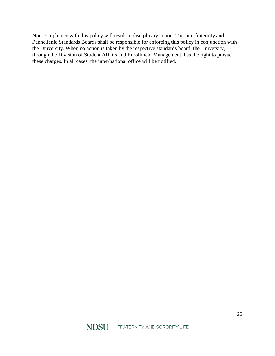Non-compliance with this policy will result in disciplinary action. The Interfraternity and Panhellenic Standards Boards shall be responsible for enforcing this policy in conjunction with the University. When no action is taken by the respective standards board, the University, through the Division of Student Affairs and Enrollment Management, has the right to pursue these charges. In all cases, the inter/national office will be notified.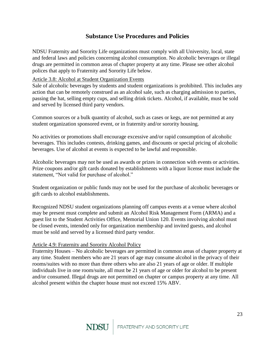## **Substance Use Procedures and Policies**

<span id="page-22-0"></span>NDSU Fraternity and Sorority Life organizations must comply with all University, local, state and federal laws and policies concerning alcohol consumption. No alcoholic beverages or illegal drugs are permitted in common areas of chapter property at any time. Please see other alcohol polices that apply to Fraternity and Sorority Life below.

## Article 3.8: Alcohol at Student Organization Events

Sale of alcoholic beverages by students and student organizations is prohibited. This includes any action that can be remotely construed as an alcohol sale, such as charging admission to parties, passing the hat, selling empty cups, and selling drink tickets. Alcohol, if available, must be sold and served by licensed third party vendors.

Common sources or a bulk quantity of alcohol, such as cases or kegs, are not permitted at any student organization sponsored event, or in fraternity and/or sorority housing.

No activities or promotions shall encourage excessive and/or rapid consumption of alcoholic beverages. This includes contests, drinking games, and discounts or special pricing of alcoholic beverages. Use of alcohol at events is expected to be lawful and responsible.

Alcoholic beverages may not be used as awards or prizes in connection with events or activities. Prize coupons and/or gift cards donated by establishments with a liquor license must include the statement, "Not valid for purchase of alcohol."

Student organization or public funds may not be used for the purchase of alcoholic beverages or gift cards to alcohol establishments.

Recognized NDSU student organizations planning off campus events at a venue where alcohol may be present must complete and submit an Alcohol Risk Management Form (ARMA) and a guest list to the Student Activities Office, Memorial Union 120. Events involving alcohol must be closed events, intended only for organization membership and invited guests, and alcohol must be sold and served by a licensed third party vendor.

### Article 4.9: Fraternity and Sorority Alcohol Policy

Fraternity Houses – No alcoholic beverages are permitted in common areas of chapter property at any time. Student members who are 21 years of age may consume alcohol in the privacy of their rooms/suites with no more than three others who are also 21 years of age or older. If multiple individuals live in one room/suite, all must be 21 years of age or older for alcohol to be present and/or consumed. Illegal drugs are not permitted on chapter or campus property at any time. All alcohol present within the chapter house must not exceed 15% ABV.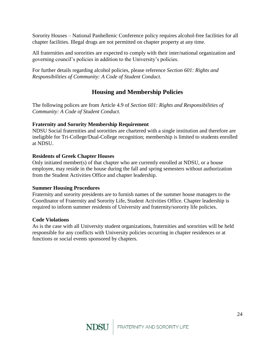Sorority Houses – National Panhellenic Conference policy requires alcohol-free facilities for all chapter facilities. Illegal drugs are not permitted on chapter property at any time.

All fraternities and sororities are expected to comply with their inter/national organization and governing council's policies in addition to the University's policies.

For further details regarding alcohol policies, please reference *Section 601: Rights and Responsibilities of Community: A Code of Student Conduct.*

## **Housing and Membership Policies**

<span id="page-23-0"></span>The following polices are from Article 4.9 of *Section 601: Rights and Responsibilities of Community: A Code of Student Conduct.*

## **Fraternity and Sorority Membership Requirement**

NDSU Social fraternities and sororities are chartered with a single institution and therefore are ineligible for Tri-College/Dual-College recognition; membership is limited to students enrolled at NDSU.

## **Residents of Greek Chapter Houses**

Only initiated member(s) of that chapter who are currently enrolled at NDSU, or a house employee, may reside in the house during the fall and spring semesters without authorization from the Student Activities Office and chapter leadership.

## **Summer Housing Procedures**

Fraternity and sorority presidents are to furnish names of the summer house managers to the Coordinator of Fraternity and Sorority Life, Student Activities Office. Chapter leadership is required to inform summer residents of University and fraternity/sorority life policies.

## **Code Violations**

As is the case with all University student organizations, fraternities and sororities will be held responsible for any conflicts with University policies occurring in chapter residences or at functions or social events sponsored by chapters.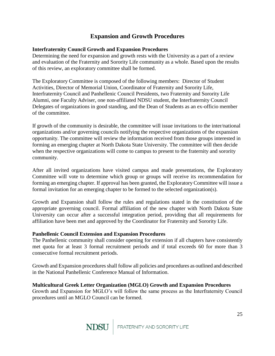## **Expansion and Growth Procedures**

## <span id="page-24-0"></span>**Interfraternity Council Growth and Expansion Procedures**

Determining the need for expansion and growth rests with the University as a part of a review and evaluation of the Fraternity and Sorority Life community as a whole. Based upon the results of this review, an exploratory committee shall be formed.

The Exploratory Committee is composed of the following members: Director of Student Activities, Director of Memorial Union, Coordinator of Fraternity and Sorority Life, Interfraternity Council and Panhellenic Council Presidents, two Fraternity and Sorority Life Alumni, one Faculty Adviser, one non-affiliated NDSU student, the Interfraternity Council Delegates of organizations in good standing, and the Dean of Students as an ex-officio member of the committee.

If growth of the community is desirable, the committee will issue invitations to the inter/national organizations and/or governing councils notifying the respective organizations of the expansion opportunity. The committee will review the information received from those groups interested in forming an emerging chapter at North Dakota State University. The committee will then decide when the respective organizations will come to campus to present to the fraternity and sorority community.

After all invited organizations have visited campus and made presentations, the Exploratory Committee will vote to determine which group or groups will receive its recommendation for forming an emerging chapter. If approval has been granted, the Exploratory Committee will issue a formal invitation for an emerging chapter to be formed to the selected organization(s).

Growth and Expansion shall follow the rules and regulations stated in the constitution of the appropriate governing council. Formal affiliation of the new chapter with North Dakota State University can occur after a successful integration period, providing that all requirements for affiliation have been met and approved by the Coordinator for Fraternity and Sorority Life.

## **Panhellenic Council Extension and Expansion Procedures**

The Panhellenic community shall consider opening for extension if all chapters have consistently met quota for at least 3 formal recruitment periods and if total exceeds 60 for more than 3 consecutive formal recruitment periods.

Growth and Expansion procedures shall follow all policies and procedures as outlined and described in the National Panhellenic Conference Manual of Information.

## **Multicultural Greek Letter Organization (MGLO) Growth and Expansion Procedures**

Growth and Expansion for MGLO's will follow the same process as the Interfraternity Council procedures until an MGLO Council can be formed.